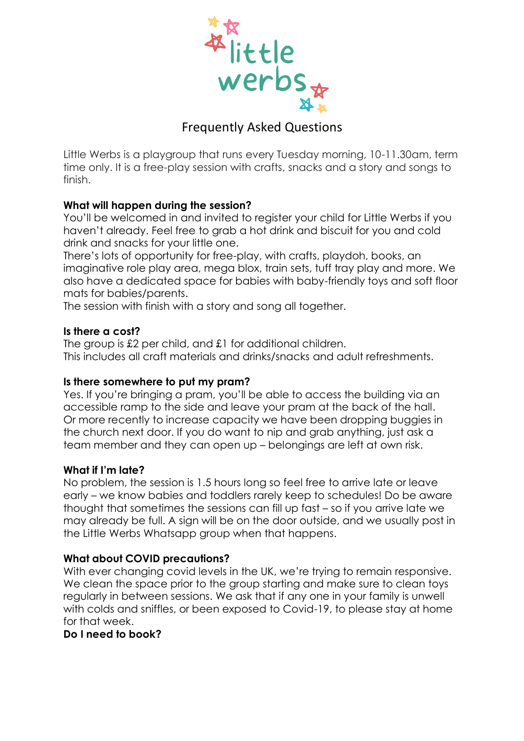

# Frequently Asked Questions

Little Werbs is a playgroup that runs every Tuesday morning, 10-11.30am, term time only. It is a free-play session with crafts, snacks and a story and songs to finish.

# **What will happen during the session?**

You'll be welcomed in and invited to register your child for Little Werbs if you haven't already. Feel free to grab a hot drink and biscuit for you and cold drink and snacks for your little one.

There's lots of opportunity for free-play, with crafts, playdoh, books, an imaginative role play area, mega blox, train sets, tuff tray play and more. We also have a dedicated space for babies with baby-friendly toys and soft floor mats for babies/parents.

The session with finish with a story and song all together.

### **Is there a cost?**

The group is £2 per child, and £1 for additional children. This includes all craft materials and drinks/snacks and adult refreshments.

### **Is there somewhere to put my pram?**

Yes. If you're bringing a pram, you'll be able to access the building via an accessible ramp to the side and leave your pram at the back of the hall. Or more recently to increase capacity we have been dropping buggies in the church next door. If you do want to nip and grab anything, just ask a team member and they can open up – belongings are left at own risk.

### **What if I'm late?**

No problem, the session is 1.5 hours long so feel free to arrive late or leave early – we know babies and toddlers rarely keep to schedules! Do be aware thought that sometimes the sessions can fill up fast – so if you arrive late we may already be full. A sign will be on the door outside, and we usually post in the Little Werbs Whatsapp group when that happens.

### **What about COVID precautions?**

With ever changing covid levels in the UK, we're trying to remain responsive. We clean the space prior to the group starting and make sure to clean toys regularly in between sessions. We ask that if any one in your family is unwell with colds and sniffles, or been exposed to Covid-19, to please stay at home for that week.

### **Do I need to book?**